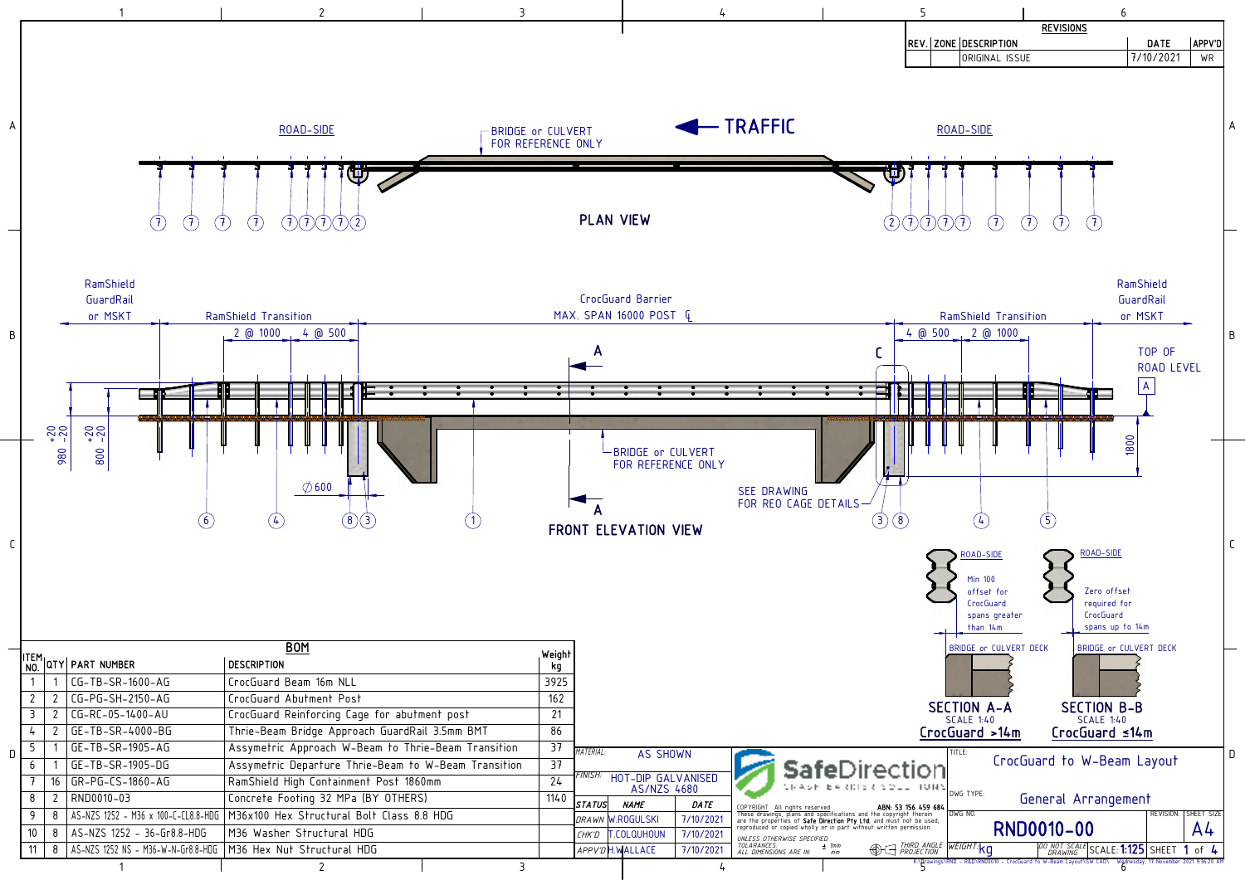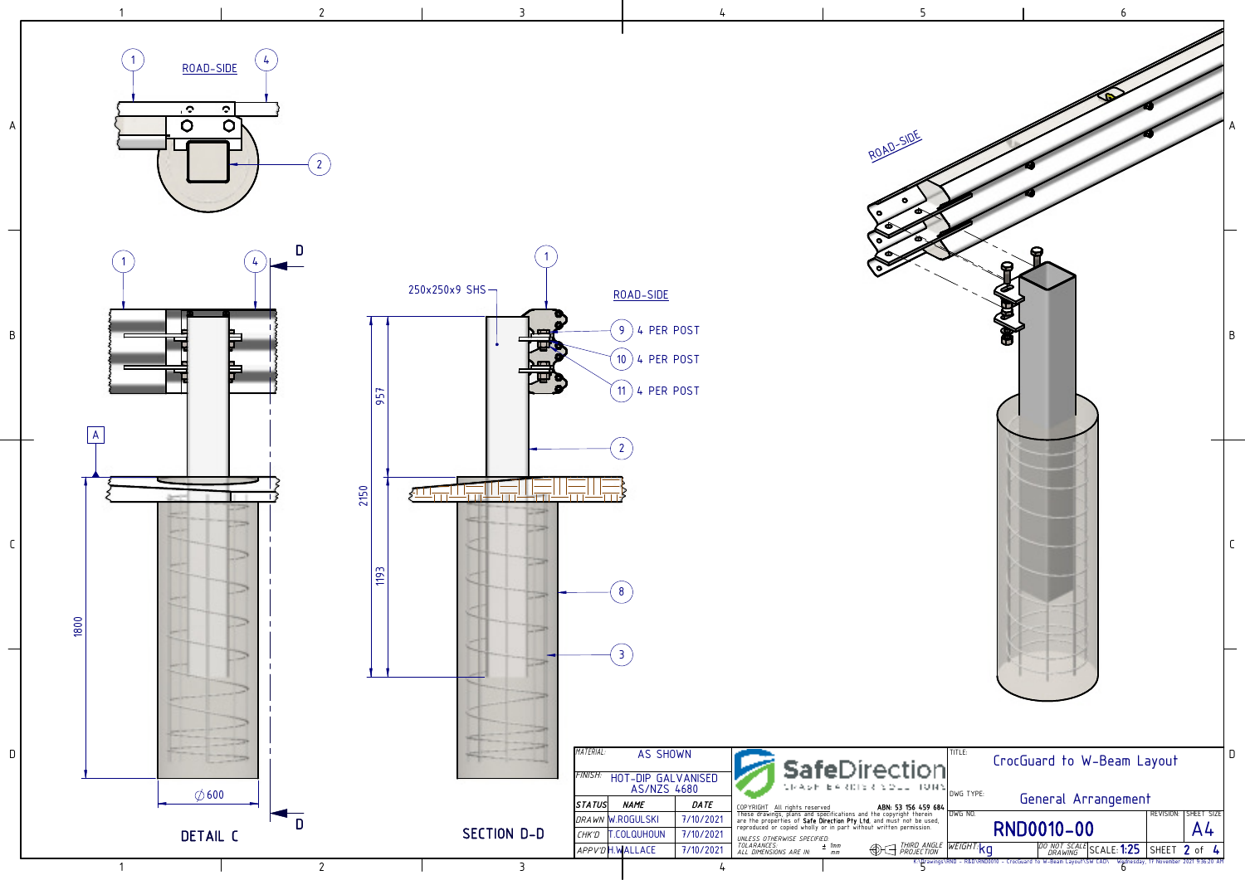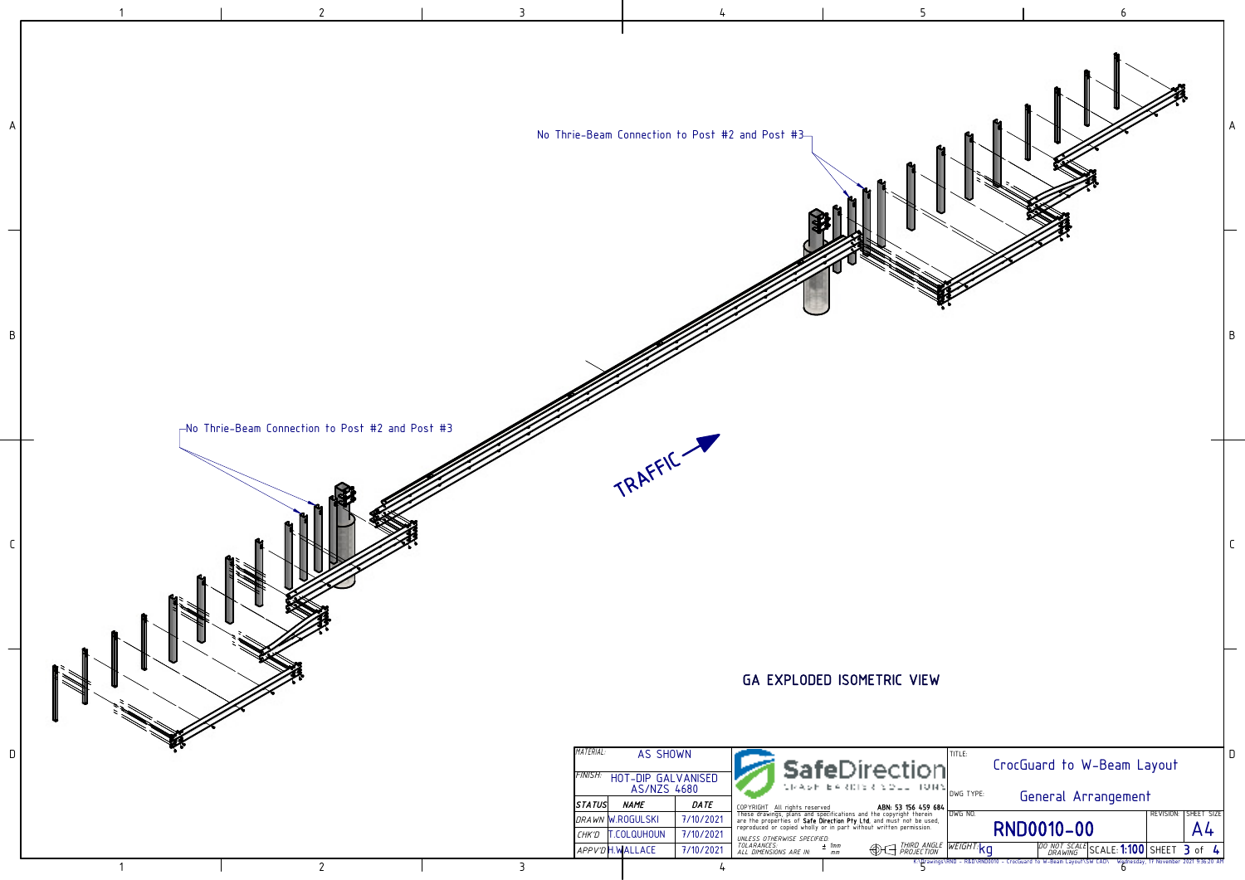